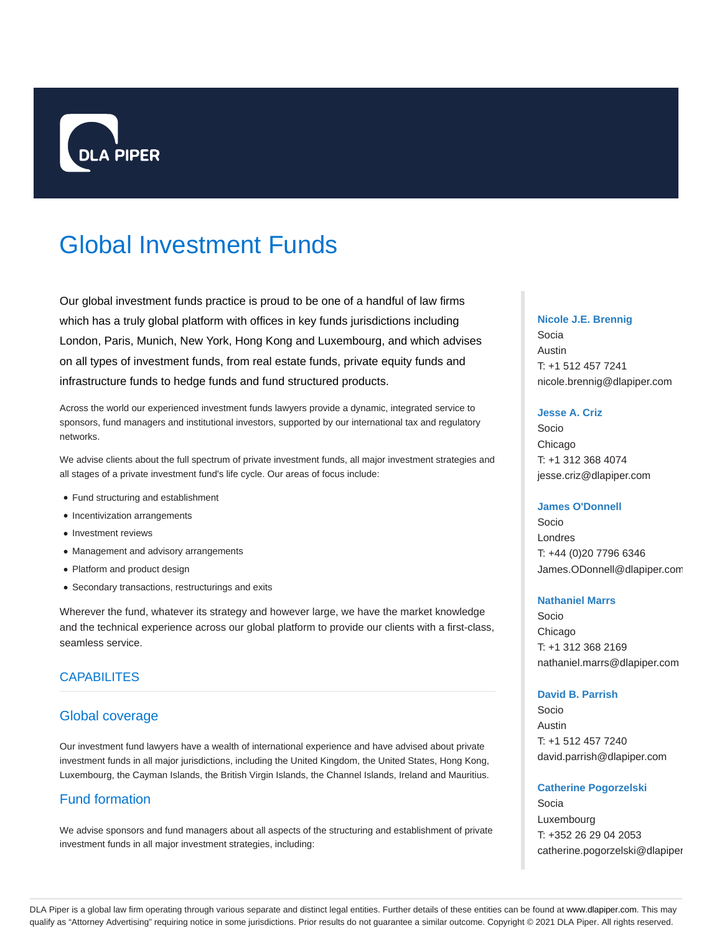

# Global Investment Funds

Our global investment funds practice is proud to be one of a handful of law firms which has a truly global platform with offices in key funds jurisdictions including London, Paris, Munich, New York, Hong Kong and Luxembourg, and which advises on all types of investment funds, from real estate funds, private equity funds and infrastructure funds to hedge funds and fund structured products.

Across the world our experienced investment funds lawyers provide a dynamic, integrated service to sponsors, fund managers and institutional investors, supported by our international tax and regulatory networks.

We advise clients about the full spectrum of private investment funds, all major investment strategies and all stages of a private investment fund's life cycle. Our areas of focus include:

- Fund structuring and establishment
- Incentivization arrangements
- Investment reviews
- Management and advisory arrangements
- Platform and product design
- Secondary transactions, restructurings and exits

Wherever the fund, whatever its strategy and however large, we have the market knowledge and the technical experience across our global platform to provide our clients with a first-class, seamless service.

# CAPABILITES

# Global coverage

Our investment fund lawyers have a wealth of international experience and have advised about private investment funds in all major jurisdictions, including the United Kingdom, the United States, Hong Kong, Luxembourg, the Cayman Islands, the British Virgin Islands, the Channel Islands, Ireland and Mauritius.

# Fund formation

We advise sponsors and fund managers about all aspects of the structuring and establishment of private investment funds in all major investment strategies, including:

#### **Nicole J.E. Brennig**

Socia Austin T: +1 512 457 7241 nicole.brennig@dlapiper.com

#### **Jesse A. Criz**

Socio Chicago T: +1 312 368 4074 jesse.criz@dlapiper.com

### **James O'Donnell**

Socio Londres T: +44 (0)20 7796 6346 James.ODonnell@dlapiper.com

#### **Nathaniel Marrs**

Socio Chicago T: +1 312 368 2169 nathaniel.marrs@dlapiper.com

## **David B. Parrish**

Socio Austin T: +1 512 457 7240 david.parrish@dlapiper.com

#### **Catherine Pogorzelski**

Socia Luxembourg T: +352 26 29 04 2053 catherine.pogorzelski@dlapiper

DLA Piper is a global law firm operating through various separate and distinct legal entities. Further details of these entities can be found at www.dlapiper.com. This may qualify as "Attorney Advertising" requiring notice in some jurisdictions. Prior results do not guarantee a similar outcome. Copyright @ 2021 DLA Piper. All rights reserved.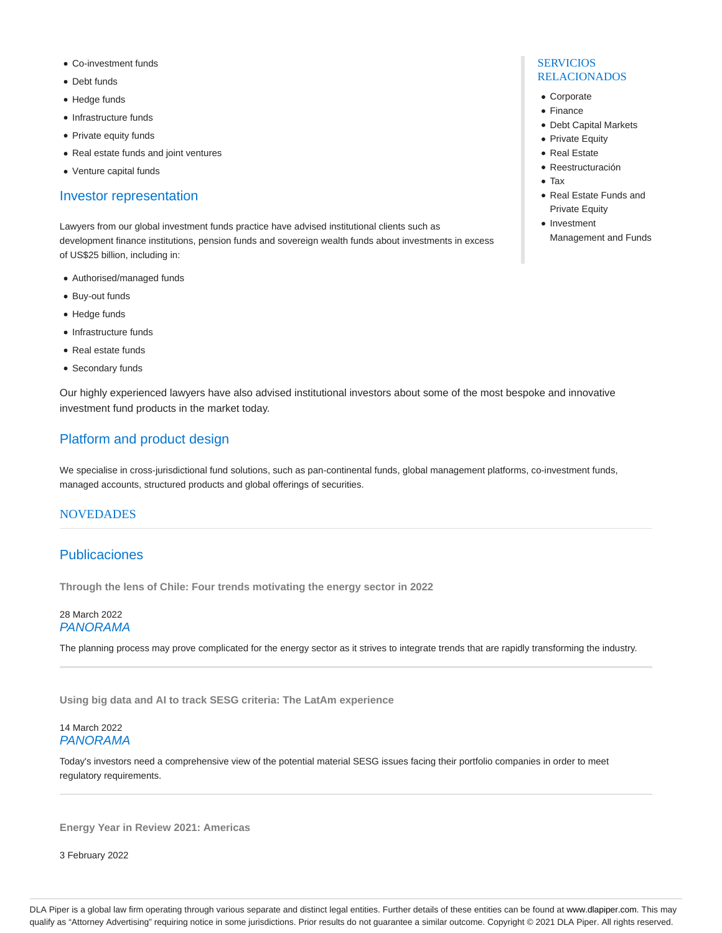- Co-investment funds
- Debt funds
- Hedge funds
- Infrastructure funds
- Private equity funds
- Real estate funds and joint ventures
- Venture capital funds

## Investor representation

Lawyers from our global investment funds practice have advised institutional clients such as development finance institutions, pension funds and sovereign wealth funds about investments in excess of US\$25 billion, including in:

- Authorised/managed funds
- Buy-out funds
- Hedge funds
- Infrastructure funds
- Real estate funds
- Secondary funds

Our highly experienced lawyers have also advised institutional investors about some of the most bespoke and innovative investment fund products in the market today.

# Platform and product design

We specialise in cross-jurisdictional fund solutions, such as pan-continental funds, global management platforms, co-investment funds, managed accounts, structured products and global offerings of securities.

## **NOVEDADES**

# Publicaciones

**Through the lens of Chile: Four trends motivating the energy sector in 2022**

## 28 March 2022 PANORAMA

The planning process may prove complicated for the energy sector as it strives to integrate trends that are rapidly transforming the industry.

**Using big data and AI to track SESG criteria: The LatAm experience**

## 14 March 2022 PANORAMA

Today's investors need a comprehensive view of the potential material SESG issues facing their portfolio companies in order to meet regulatory requirements.

**Energy Year in Review 2021: Americas**

3 February 2022

### **SERVICIOS** RELACIONADOS

- Corporate
- Finance
- Debt Capital Markets
- Private Equity
- Real Estate
- Reestructuración
- Tax
- Real Estate Funds and Private Equity
- Investment
	- Management and Funds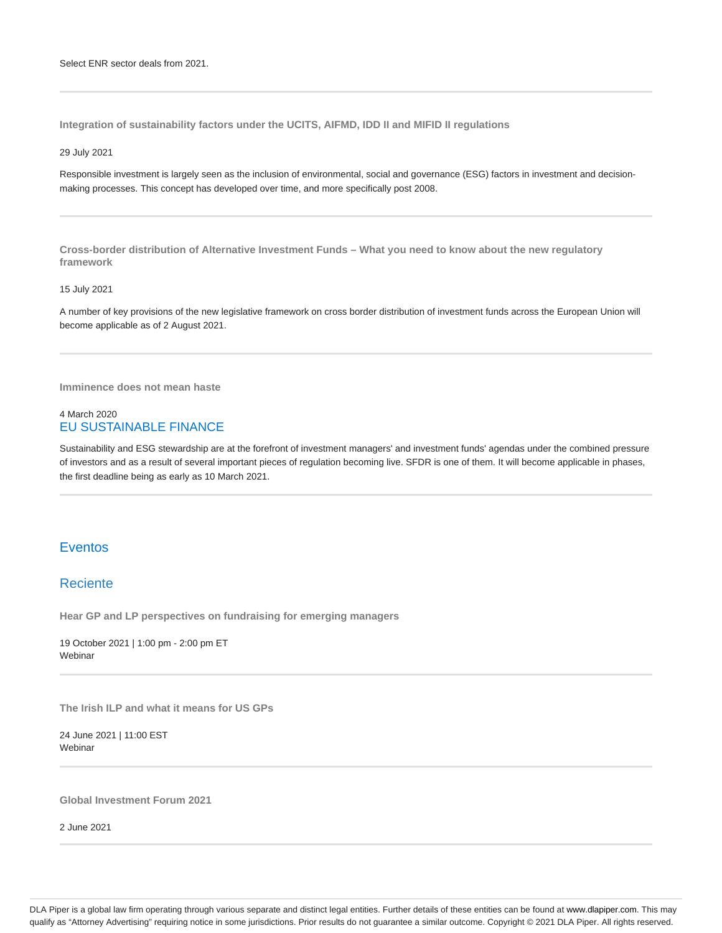**Integration of sustainability factors under the UCITS, AIFMD, IDD II and MIFID II regulations**

#### 29 July 2021

Responsible investment is largely seen as the inclusion of environmental, social and governance (ESG) factors in investment and decisionmaking processes. This concept has developed over time, and more specifically post 2008.

**Cross-border distribution of Alternative Investment Funds – What you need to know about the new regulatory framework**

#### 15 July 2021

A number of key provisions of the new legislative framework on cross border distribution of investment funds across the European Union will become applicable as of 2 August 2021.

**Imminence does not mean haste**

## 4 March 2020 EU SUSTAINABLE FINANCE

Sustainability and ESG stewardship are at the forefront of investment managers' and investment funds' agendas under the combined pressure of investors and as a result of several important pieces of regulation becoming live. SFDR is one of them. It will become applicable in phases, the first deadline being as early as 10 March 2021.

# Eventos

## **Reciente**

**Hear GP and LP perspectives on fundraising for emerging managers**

19 October 2021 | 1:00 pm - 2:00 pm ET Webinar

**The Irish ILP and what it means for US GPs**

24 June 2021 | 11:00 EST Webinar

**Global Investment Forum 2021**

2 June 2021

DLA Piper is a global law firm operating through various separate and distinct legal entities. Further details of these entities can be found at www.dlapiper.com. This may qualify as "Attorney Advertising" requiring notice in some jurisdictions. Prior results do not guarantee a similar outcome. Copyright © 2021 DLA Piper. All rights reserved.